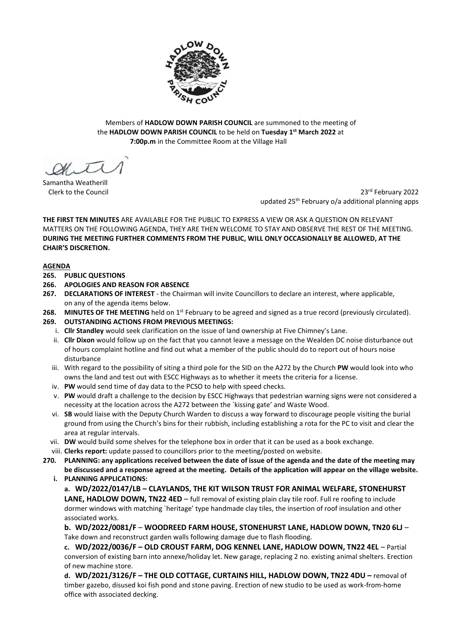

Members of **HADLOW DOWN PARISH COUNCIL** are summoned to the meeting of the **HADLOW DOWN PARISH COUNCIL** to be held on **Tuesday 1 st March 2022** at  **7:00p.m** in the Committee Room at the Village Hall

 $\mathcal{A}$ 

Samantha Weatherill Clerk to the Council

23rd February 2022 updated 25<sup>th</sup> February o/a additional planning apps

**THE FIRST TEN MINUTES** ARE AVAILABLE FOR THE PUBLIC TO EXPRESS A VIEW OR ASK A QUESTION ON RELEVANT MATTERS ON THE FOLLOWING AGENDA, THEY ARE THEN WELCOME TO STAY AND OBSERVE THE REST OF THE MEETING. **DURING THE MEETING FURTHER COMMENTS FROM THE PUBLIC, WILL ONLY OCCASIONALLY BE ALLOWED, AT THE CHAIR'S DISCRETION.**

# **AGENDA**

- **265. PUBLIC QUESTIONS**
- **266. APOLOGIES AND REASON FOR ABSENCE**
- **267. DECLARATIONS OF INTEREST** the Chairman will invite Councillors to declare an interest, where applicable, on any of the agenda items below.
- 268. MINUTES OF THE MEETING held on 1<sup>st</sup> February to be agreed and signed as a true record (previously circulated). **269. OUTSTANDING ACTIONS FROM PREVIOUS MEETINGS:**
	- i. **Cllr Standley** would seek clarification on the issue of land ownership at Five Chimney's Lane.
	- ii. **Cllr Dixon** would follow up on the fact that you cannot leave a message on the Wealden DC noise disturbance out of hours complaint hotline and find out what a member of the public should do to report out of hours noise disturbance
	- iii. With regard to the possibility of siting a third pole for the SID on the A272 by the Church **PW** would look into who owns the land and test out with ESCC Highways as to whether it meets the criteria for a license.
	- iv. **PW** would send time of day data to the PCSO to help with speed checks.
	- v. **PW** would draft a challenge to the decision by ESCC Highways that pedestrian warning signs were not considered a necessity at the location across the A272 between the `kissing gate' and Waste Wood.
	- vi. **SB** would liaise with the Deputy Church Warden to discuss a way forward to discourage people visiting the burial ground from using the Church's bins for their rubbish, including establishing a rota for the PC to visit and clear the area at regular intervals.
	- vii. **DW** would build some shelves for the telephone box in order that it can be used as a book exchange.
- viii. **Clerks report:** update passed to councillors prior to the meeting/posted on website.
- **270. PLANNING: any applications received between the date of issue of the agenda and the date of the meeting may be discussed and a response agreed at the meeting. Details of the application will appear on the village website. i. PLANNING APPLICATIONS:**

**a. WD/2022/0147/LB – CLAYLANDS, THE KIT WILSON TRUST FOR ANIMAL WELFARE, STONEHURST LANE, HADLOW DOWN, TN22 4ED** – full removal of existing plain clay tile roof. Full re roofing to include dormer windows with matching `heritage' type handmade clay tiles, the insertion of roof insulation and other associated works.

**b. WD/2022/0081/F** – **WOODREED FARM HOUSE, STONEHURST LANE, HADLOW DOWN, TN20 6LJ** – Take down and reconstruct garden walls following damage due to flash flooding.

**c. WD/2022/0036/F – OLD CROUST FARM, DOG KENNEL LANE, HADLOW DOWN, TN22 4EL** – Partial conversion of existing barn into annexe/holiday let. New garage, replacing 2 no. existing animal shelters. Erection of new machine store.

**d. WD/2021/3126/F – THE OLD COTTAGE, CURTAINS HILL, HADLOW DOWN, TN22 4DU –** removal of timber gazebo, disused koi fish pond and stone paving. Erection of new studio to be used as work-from-home office with associated decking.